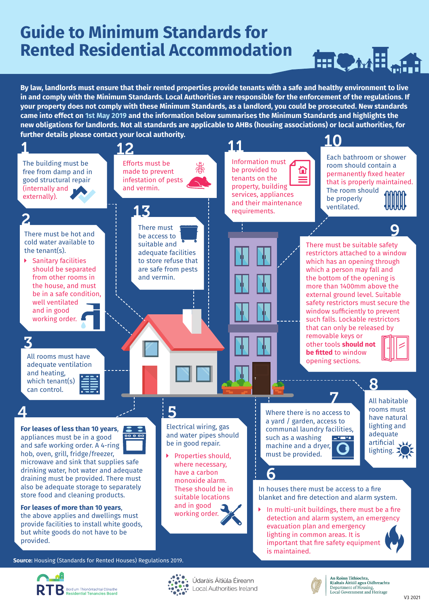## **Guide to Minimum Standards for Rented Residential Accommodation**



**By law, landlords must ensure that their rented properties provide tenants with a safe and healthy environment to live in and comply with the Minimum Standards. Local Authorities are responsible for the enforcement of the regulations. If your property does not comply with these Minimum Standards, as a landlord, you could be prosecuted. New standards came into effect on 1st May 2019 and the information below summarises the Minimum Standards and highlights the new obligations for landlords. Not all standards are applicable to AHBs (housing associations) or local authorities, for further details please contact your local authority.**







Údaráis Áitiúla Éireann Local Authorities Ireland